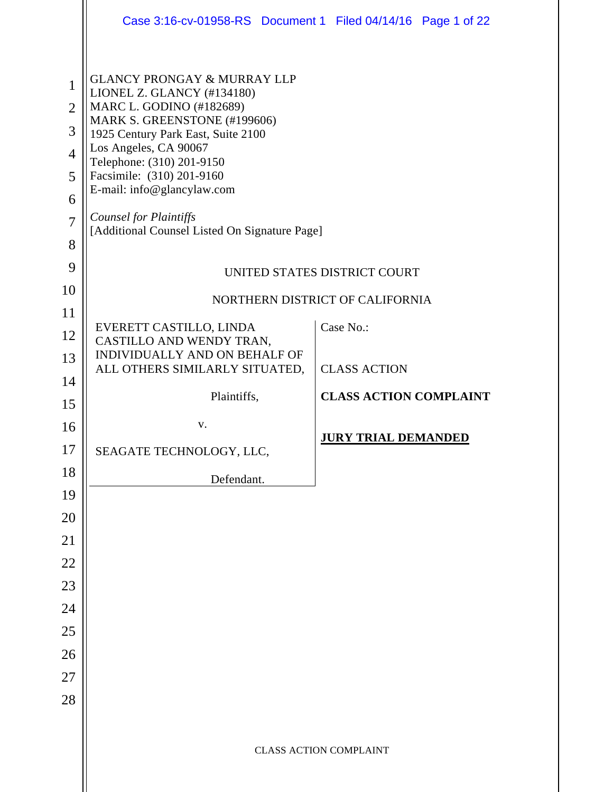|                                                                           | Case 3:16-cv-01958-RS Document 1 Filed 04/14/16 Page 1 of 22                                                                                                                                                                                                                                                                                                              |  |                               |  |  |
|---------------------------------------------------------------------------|---------------------------------------------------------------------------------------------------------------------------------------------------------------------------------------------------------------------------------------------------------------------------------------------------------------------------------------------------------------------------|--|-------------------------------|--|--|
| $\mathbf{1}$<br>$\overline{2}$<br>3<br>$\overline{4}$<br>5<br>6<br>7<br>8 | <b>GLANCY PRONGAY &amp; MURRAY LLP</b><br>LIONEL Z. GLANCY (#134180)<br>MARC L. GODINO (#182689)<br>MARK S. GREENSTONE (#199606)<br>1925 Century Park East, Suite 2100<br>Los Angeles, CA 90067<br>Telephone: (310) 201-9150<br>Facsimile: (310) 201-9160<br>E-mail: info@glancylaw.com<br><b>Counsel for Plaintiffs</b><br>[Additional Counsel Listed On Signature Page] |  |                               |  |  |
| 9                                                                         | UNITED STATES DISTRICT COURT                                                                                                                                                                                                                                                                                                                                              |  |                               |  |  |
| 10                                                                        | NORTHERN DISTRICT OF CALIFORNIA                                                                                                                                                                                                                                                                                                                                           |  |                               |  |  |
| 11                                                                        | EVERETT CASTILLO, LINDA                                                                                                                                                                                                                                                                                                                                                   |  | Case No.:                     |  |  |
| 12                                                                        | CASTILLO AND WENDY TRAN,                                                                                                                                                                                                                                                                                                                                                  |  |                               |  |  |
| 13                                                                        | INDIVIDUALLY AND ON BEHALF OF<br>ALL OTHERS SIMILARLY SITUATED,                                                                                                                                                                                                                                                                                                           |  | <b>CLASS ACTION</b>           |  |  |
| 14                                                                        | Plaintiffs,                                                                                                                                                                                                                                                                                                                                                               |  | <b>CLASS ACTION COMPLAINT</b> |  |  |
| 15                                                                        | V.                                                                                                                                                                                                                                                                                                                                                                        |  |                               |  |  |
| 16<br>17                                                                  |                                                                                                                                                                                                                                                                                                                                                                           |  | <b>JURY TRIAL DEMANDED</b>    |  |  |
| 18                                                                        | SEAGATE TECHNOLOGY, LLC,                                                                                                                                                                                                                                                                                                                                                  |  |                               |  |  |
| 19                                                                        | Defendant.                                                                                                                                                                                                                                                                                                                                                                |  |                               |  |  |
| 20                                                                        |                                                                                                                                                                                                                                                                                                                                                                           |  |                               |  |  |
| 21                                                                        |                                                                                                                                                                                                                                                                                                                                                                           |  |                               |  |  |
| $22\,$                                                                    |                                                                                                                                                                                                                                                                                                                                                                           |  |                               |  |  |
| 23                                                                        |                                                                                                                                                                                                                                                                                                                                                                           |  |                               |  |  |
| 24                                                                        |                                                                                                                                                                                                                                                                                                                                                                           |  |                               |  |  |
| 25                                                                        |                                                                                                                                                                                                                                                                                                                                                                           |  |                               |  |  |
| 26                                                                        |                                                                                                                                                                                                                                                                                                                                                                           |  |                               |  |  |
| $27\,$                                                                    |                                                                                                                                                                                                                                                                                                                                                                           |  |                               |  |  |
| 28                                                                        |                                                                                                                                                                                                                                                                                                                                                                           |  |                               |  |  |
|                                                                           |                                                                                                                                                                                                                                                                                                                                                                           |  | <b>CLASS ACTION COMPLAINT</b> |  |  |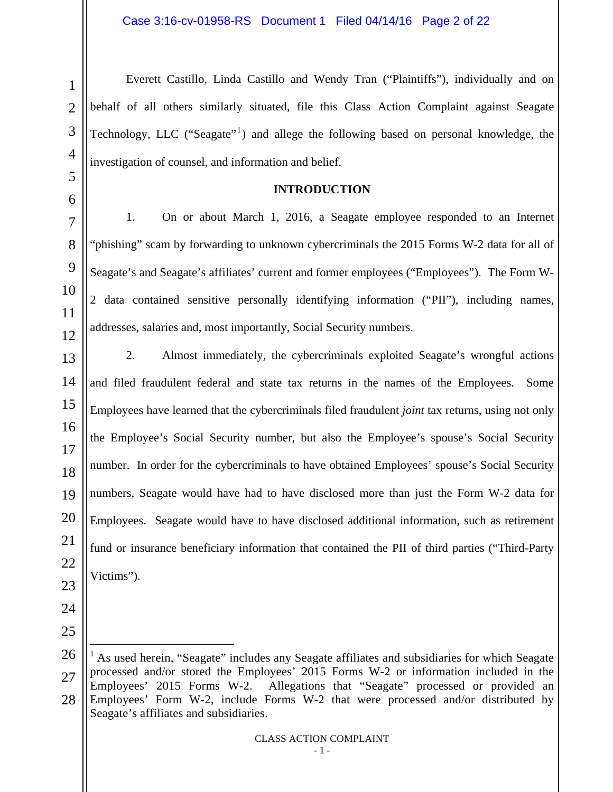Everett Castillo, Linda Castillo and Wendy Tran ("Plaintiffs"), individually and on behalf of all others similarly situated, file this Class Action Complaint against Seagate Technology, LLC ("Seagate"<sup>1</sup>) and allege the following based on personal knowledge, the investigation of counsel, and information and belief.

#### **INTRODUCTION**

1. On or about March 1, 2016, a Seagate employee responded to an Internet "phishing" scam by forwarding to unknown cybercriminals the 2015 Forms W-2 data for all of Seagate's and Seagate's affiliates' current and former employees ("Employees"). The Form W-2 data contained sensitive personally identifying information ("PII"), including names, addresses, salaries and, most importantly, Social Security numbers.

2. Almost immediately, the cybercriminals exploited Seagate's wrongful actions and filed fraudulent federal and state tax returns in the names of the Employees. Some Employees have learned that the cybercriminals filed fraudulent *joint* tax returns, using not only the Employee's Social Security number, but also the Employee's spouse's Social Security number. In order for the cybercriminals to have obtained Employees' spouse's Social Security numbers, Seagate would have had to have disclosed more than just the Form W-2 data for Employees. Seagate would have to have disclosed additional information, such as retirement fund or insurance beneficiary information that contained the PII of third parties ("Third-Party Victims").

- 23
- 25

<sup>27</sup> 28  $\overline{a}$ 1 As used herein, "Seagate" includes any Seagate affiliates and subsidiaries for which Seagate processed and/or stored the Employees' 2015 Forms W-2 or information included in the Employees' 2015 Forms W-2. Allegations that "Seagate" processed or provided an Employees' Form W-2, include Forms W-2 that were processed and/or distributed by Seagate's affiliates and subsidiaries.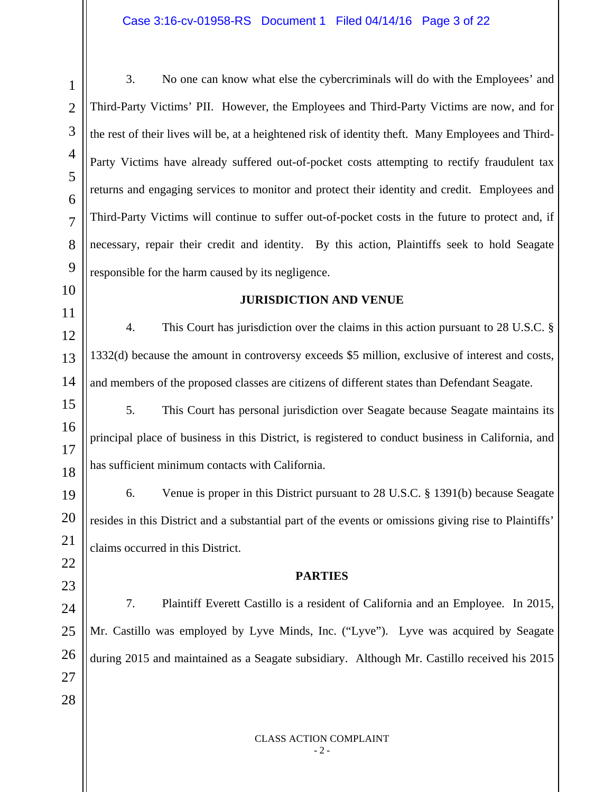## Case 3:16-cv-01958-RS Document 1 Filed 04/14/16 Page 3 of 22

3. No one can know what else the cybercriminals will do with the Employees' and Third-Party Victims' PII. However, the Employees and Third-Party Victims are now, and for the rest of their lives will be, at a heightened risk of identity theft. Many Employees and Third-Party Victims have already suffered out-of-pocket costs attempting to rectify fraudulent tax returns and engaging services to monitor and protect their identity and credit. Employees and Third-Party Victims will continue to suffer out-of-pocket costs in the future to protect and, if necessary, repair their credit and identity. By this action, Plaintiffs seek to hold Seagate responsible for the harm caused by its negligence.

#### **JURISDICTION AND VENUE**

4. This Court has jurisdiction over the claims in this action pursuant to 28 U.S.C. § 1332(d) because the amount in controversy exceeds \$5 million, exclusive of interest and costs, and members of the proposed classes are citizens of different states than Defendant Seagate.

5. This Court has personal jurisdiction over Seagate because Seagate maintains its principal place of business in this District, is registered to conduct business in California, and has sufficient minimum contacts with California.

6. Venue is proper in this District pursuant to 28 U.S.C. § 1391(b) because Seagate resides in this District and a substantial part of the events or omissions giving rise to Plaintiffs' claims occurred in this District.

#### **PARTIES**

7. Plaintiff Everett Castillo is a resident of California and an Employee. In 2015, Mr. Castillo was employed by Lyve Minds, Inc. ("Lyve"). Lyve was acquired by Seagate during 2015 and maintained as a Seagate subsidiary. Although Mr. Castillo received his 2015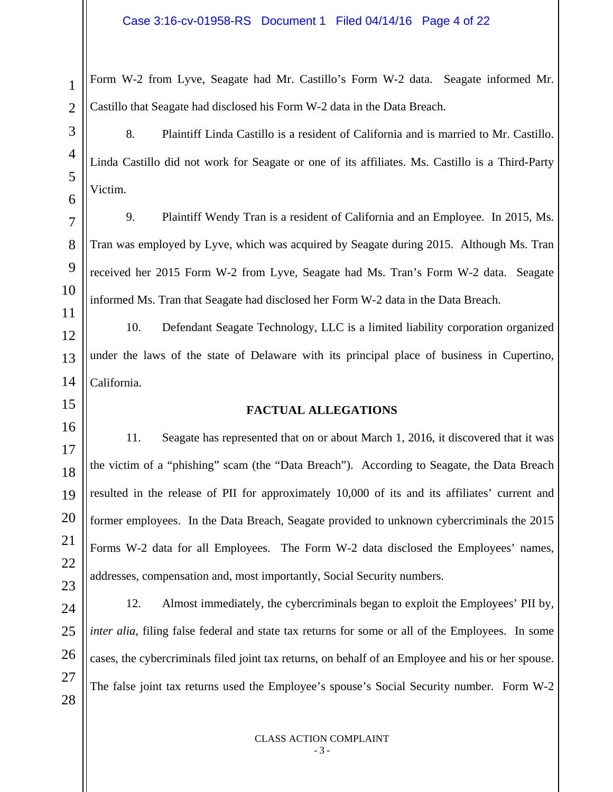Form W-2 from Lyve, Seagate had Mr. Castillo's Form W-2 data. Seagate informed Mr. Castillo that Seagate had disclosed his Form W-2 data in the Data Breach.

8. Plaintiff Linda Castillo is a resident of California and is married to Mr. Castillo. Linda Castillo did not work for Seagate or one of its affiliates. Ms. Castillo is a Third-Party Victim.

9. Plaintiff Wendy Tran is a resident of California and an Employee. In 2015, Ms. Tran was employed by Lyve, which was acquired by Seagate during 2015. Although Ms. Tran received her 2015 Form W-2 from Lyve, Seagate had Ms. Tran's Form W-2 data. Seagate informed Ms. Tran that Seagate had disclosed her Form W-2 data in the Data Breach.

10. Defendant Seagate Technology, LLC is a limited liability corporation organized under the laws of the state of Delaware with its principal place of business in Cupertino, California.

## **FACTUAL ALLEGATIONS**

11. Seagate has represented that on or about March 1, 2016, it discovered that it was the victim of a "phishing" scam (the "Data Breach"). According to Seagate, the Data Breach resulted in the release of PII for approximately 10,000 of its and its affiliates' current and former employees. In the Data Breach, Seagate provided to unknown cybercriminals the 2015 Forms W-2 data for all Employees. The Form W-2 data disclosed the Employees' names, addresses, compensation and, most importantly, Social Security numbers.

12. Almost immediately, the cybercriminals began to exploit the Employees' PII by, *inter alia*, filing false federal and state tax returns for some or all of the Employees. In some cases, the cybercriminals filed joint tax returns, on behalf of an Employee and his or her spouse. The false joint tax returns used the Employee's spouse's Social Security number. Form W-2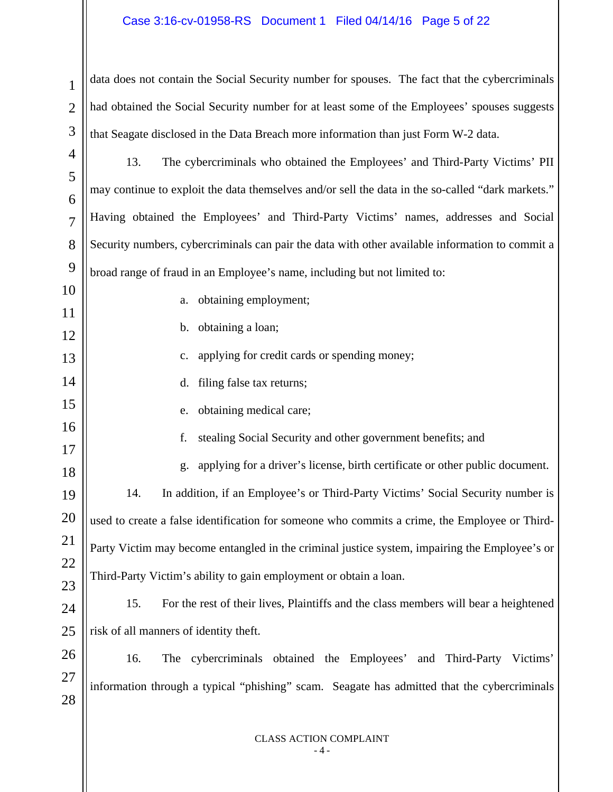## Case 3:16-cv-01958-RS Document 1 Filed 04/14/16 Page 5 of 22

data does not contain the Social Security number for spouses. The fact that the cybercriminals had obtained the Social Security number for at least some of the Employees' spouses suggests that Seagate disclosed in the Data Breach more information than just Form W-2 data.

4 5 6 7 8 9 13. The cybercriminals who obtained the Employees' and Third-Party Victims' PII may continue to exploit the data themselves and/or sell the data in the so-called "dark markets." Having obtained the Employees' and Third-Party Victims' names, addresses and Social Security numbers, cybercriminals can pair the data with other available information to commit a broad range of fraud in an Employee's name, including but not limited to:

a. obtaining employment;

b. obtaining a loan;

c. applying for credit cards or spending money;

d. filing false tax returns;

e. obtaining medical care;

f. stealing Social Security and other government benefits; and

g. applying for a driver's license, birth certificate or other public document. 14. In addition, if an Employee's or Third-Party Victims' Social Security number is used to create a false identification for someone who commits a crime, the Employee or Third-Party Victim may become entangled in the criminal justice system, impairing the Employee's or Third-Party Victim's ability to gain employment or obtain a loan.

15. For the rest of their lives, Plaintiffs and the class members will bear a heightened risk of all manners of identity theft.

26 27 28 16. The cybercriminals obtained the Employees' and Third-Party Victims' information through a typical "phishing" scam. Seagate has admitted that the cybercriminals

> CLASS ACTION COMPLAINT - 4 -

1

2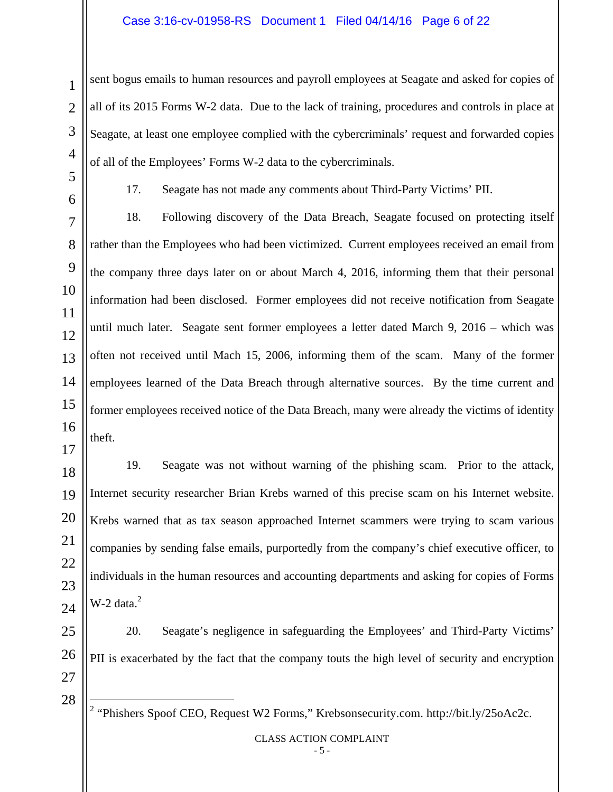### Case 3:16-cv-01958-RS Document 1 Filed 04/14/16 Page 6 of 22

sent bogus emails to human resources and payroll employees at Seagate and asked for copies of all of its 2015 Forms W-2 data. Due to the lack of training, procedures and controls in place at Seagate, at least one employee complied with the cybercriminals' request and forwarded copies of all of the Employees' Forms W-2 data to the cybercriminals.

17. Seagate has not made any comments about Third-Party Victims' PII.

18. Following discovery of the Data Breach, Seagate focused on protecting itself rather than the Employees who had been victimized. Current employees received an email from the company three days later on or about March 4, 2016, informing them that their personal information had been disclosed. Former employees did not receive notification from Seagate until much later. Seagate sent former employees a letter dated March 9, 2016 – which was often not received until Mach 15, 2006, informing them of the scam. Many of the former employees learned of the Data Breach through alternative sources. By the time current and former employees received notice of the Data Breach, many were already the victims of identity theft.

19. Seagate was not without warning of the phishing scam. Prior to the attack, Internet security researcher Brian Krebs warned of this precise scam on his Internet website. Krebs warned that as tax season approached Internet scammers were trying to scam various companies by sending false emails, purportedly from the company's chief executive officer, to individuals in the human resources and accounting departments and asking for copies of Forms  $W-2$  data. $^{2}$ 

20. Seagate's negligence in safeguarding the Employees' and Third-Party Victims' PII is exacerbated by the fact that the company touts the high level of security and encryption

2 "Phishers Spoof CEO, Request W2 Forms," Krebsonsecurity.com. http://bit.ly/25oAc2c.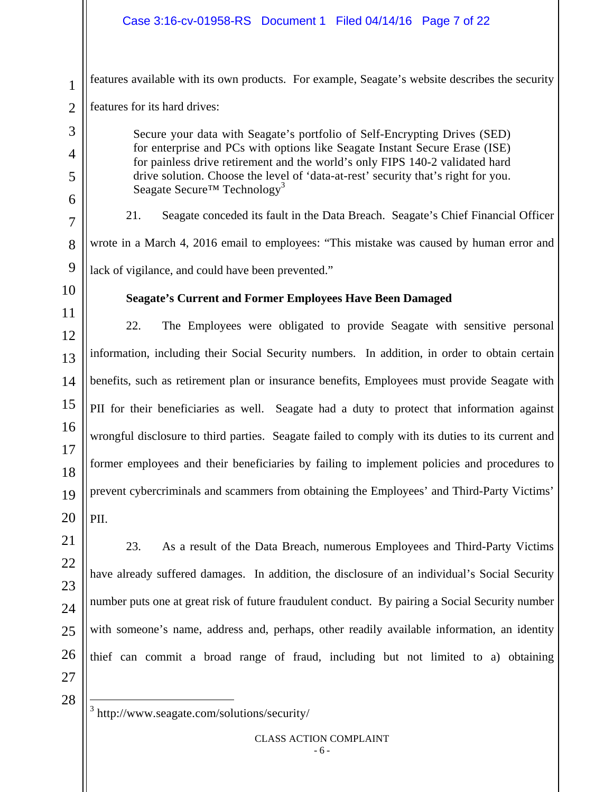features available with its own products. For example, Seagate's website describes the security features for its hard drives:

Secure your data with Seagate's portfolio of Self-Encrypting Drives (SED) for enterprise and PCs with options like Seagate Instant Secure Erase (ISE) for painless drive retirement and the world's only FIPS 140-2 validated hard drive solution. Choose the level of 'data-at-rest' security that's right for you. Seagate Secure<sup>TM</sup> Technology<sup>3</sup>

21. Seagate conceded its fault in the Data Breach. Seagate's Chief Financial Officer wrote in a March 4, 2016 email to employees: "This mistake was caused by human error and lack of vigilance, and could have been prevented."

**Seagate's Current and Former Employees Have Been Damaged** 

# 10

11

12

13

14

15

16

17

18

19

20

1

2

3

4

5

6

7

8

9

22. The Employees were obligated to provide Seagate with sensitive personal information, including their Social Security numbers. In addition, in order to obtain certain benefits, such as retirement plan or insurance benefits, Employees must provide Seagate with PII for their beneficiaries as well. Seagate had a duty to protect that information against wrongful disclosure to third parties. Seagate failed to comply with its duties to its current and former employees and their beneficiaries by failing to implement policies and procedures to prevent cybercriminals and scammers from obtaining the Employees' and Third-Party Victims' PII.

23. As a result of the Data Breach, numerous Employees and Third-Party Victims have already suffered damages. In addition, the disclosure of an individual's Social Security number puts one at great risk of future fraudulent conduct. By pairing a Social Security number with someone's name, address and, perhaps, other readily available information, an identity thief can commit a broad range of fraud, including but not limited to a) obtaining

 $\overline{a}$ 3 http://www.seagate.com/solutions/security/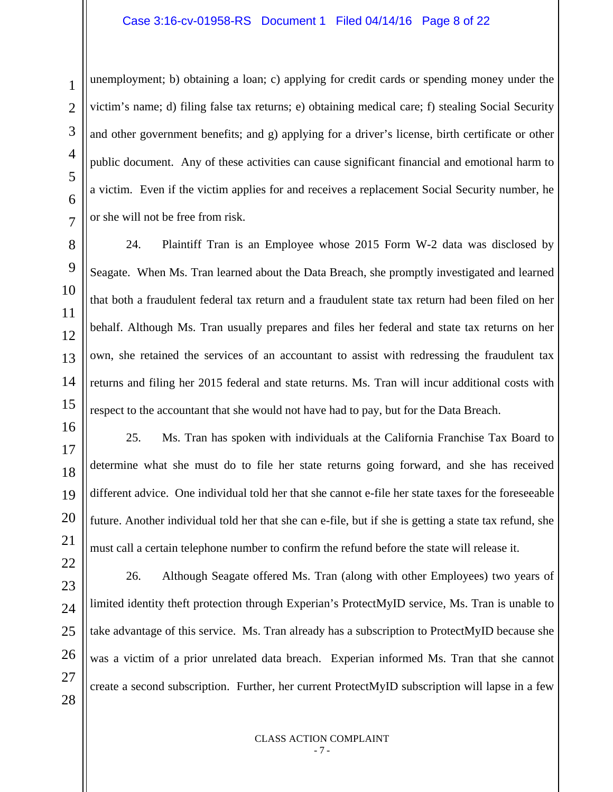## Case 3:16-cv-01958-RS Document 1 Filed 04/14/16 Page 8 of 22

unemployment; b) obtaining a loan; c) applying for credit cards or spending money under the victim's name; d) filing false tax returns; e) obtaining medical care; f) stealing Social Security and other government benefits; and g) applying for a driver's license, birth certificate or other public document. Any of these activities can cause significant financial and emotional harm to a victim. Even if the victim applies for and receives a replacement Social Security number, he or she will not be free from risk.

24. Plaintiff Tran is an Employee whose 2015 Form W-2 data was disclosed by Seagate. When Ms. Tran learned about the Data Breach, she promptly investigated and learned that both a fraudulent federal tax return and a fraudulent state tax return had been filed on her behalf. Although Ms. Tran usually prepares and files her federal and state tax returns on her own, she retained the services of an accountant to assist with redressing the fraudulent tax returns and filing her 2015 federal and state returns. Ms. Tran will incur additional costs with respect to the accountant that she would not have had to pay, but for the Data Breach.

25. Ms. Tran has spoken with individuals at the California Franchise Tax Board to determine what she must do to file her state returns going forward, and she has received different advice. One individual told her that she cannot e-file her state taxes for the foreseeable future. Another individual told her that she can e-file, but if she is getting a state tax refund, she must call a certain telephone number to confirm the refund before the state will release it.

26. Although Seagate offered Ms. Tran (along with other Employees) two years of limited identity theft protection through Experian's ProtectMyID service, Ms. Tran is unable to take advantage of this service. Ms. Tran already has a subscription to ProtectMyID because she was a victim of a prior unrelated data breach. Experian informed Ms. Tran that she cannot create a second subscription. Further, her current ProtectMyID subscription will lapse in a few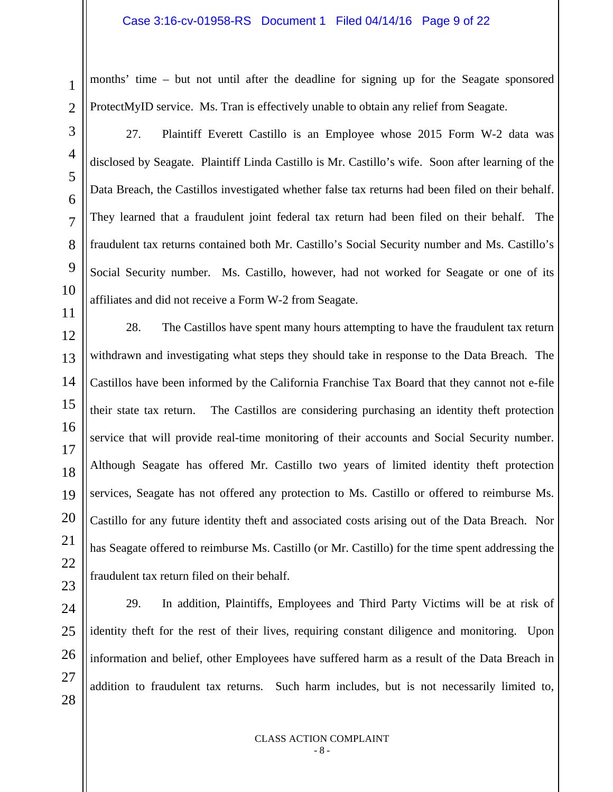#### Case 3:16-cv-01958-RS Document 1 Filed 04/14/16 Page 9 of 22

months' time – but not until after the deadline for signing up for the Seagate sponsored ProtectMyID service. Ms. Tran is effectively unable to obtain any relief from Seagate.

1

2

3

4

5

6

7

8

9

10

11

27. Plaintiff Everett Castillo is an Employee whose 2015 Form W-2 data was disclosed by Seagate. Plaintiff Linda Castillo is Mr. Castillo's wife. Soon after learning of the Data Breach, the Castillos investigated whether false tax returns had been filed on their behalf. They learned that a fraudulent joint federal tax return had been filed on their behalf. The fraudulent tax returns contained both Mr. Castillo's Social Security number and Ms. Castillo's Social Security number. Ms. Castillo, however, had not worked for Seagate or one of its affiliates and did not receive a Form W-2 from Seagate.

12 13 14 15 16 17 18 19 20 21 22 23 28. The Castillos have spent many hours attempting to have the fraudulent tax return withdrawn and investigating what steps they should take in response to the Data Breach. The Castillos have been informed by the California Franchise Tax Board that they cannot not e-file their state tax return. The Castillos are considering purchasing an identity theft protection service that will provide real-time monitoring of their accounts and Social Security number. Although Seagate has offered Mr. Castillo two years of limited identity theft protection services, Seagate has not offered any protection to Ms. Castillo or offered to reimburse Ms. Castillo for any future identity theft and associated costs arising out of the Data Breach. Nor has Seagate offered to reimburse Ms. Castillo (or Mr. Castillo) for the time spent addressing the fraudulent tax return filed on their behalf.

24 25 26 29. In addition, Plaintiffs, Employees and Third Party Victims will be at risk of identity theft for the rest of their lives, requiring constant diligence and monitoring. Upon information and belief, other Employees have suffered harm as a result of the Data Breach in addition to fraudulent tax returns. Such harm includes, but is not necessarily limited to,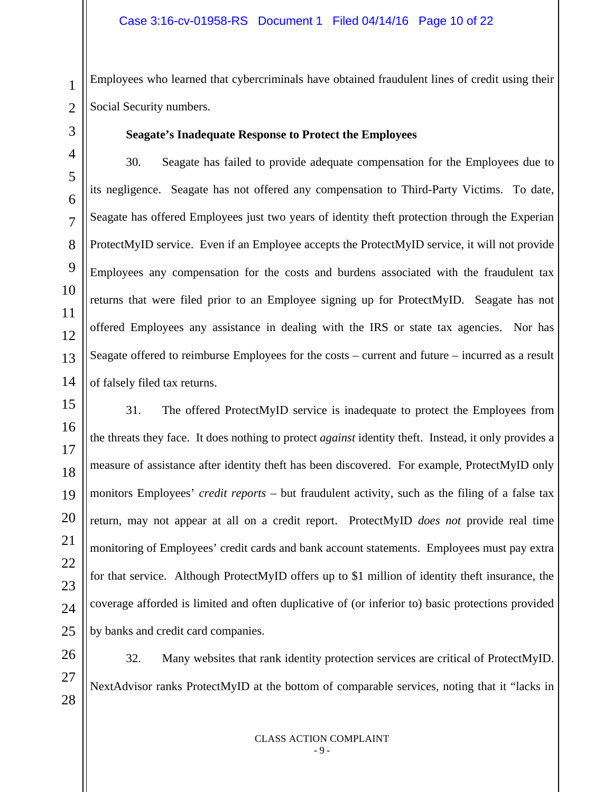Employees who learned that cybercriminals have obtained fraudulent lines of credit using their Social Security numbers.

## **Seagate's Inadequate Response to Protect the Employees**

30. Seagate has failed to provide adequate compensation for the Employees due to its negligence. Seagate has not offered any compensation to Third-Party Victims. To date, Seagate has offered Employees just two years of identity theft protection through the Experian ProtectMyID service. Even if an Employee accepts the ProtectMyID service, it will not provide Employees any compensation for the costs and burdens associated with the fraudulent tax returns that were filed prior to an Employee signing up for ProtectMyID. Seagate has not offered Employees any assistance in dealing with the IRS or state tax agencies. Nor has Seagate offered to reimburse Employees for the costs – current and future – incurred as a result of falsely filed tax returns.

31. The offered ProtectMyID service is inadequate to protect the Employees from the threats they face. It does nothing to protect *against* identity theft. Instead, it only provides a measure of assistance after identity theft has been discovered. For example, ProtectMyID only monitors Employees' *credit reports* – but fraudulent activity, such as the filing of a false tax return, may not appear at all on a credit report. ProtectMyID *does not* provide real time monitoring of Employees' credit cards and bank account statements. Employees must pay extra for that service. Although ProtectMyID offers up to \$1 million of identity theft insurance, the coverage afforded is limited and often duplicative of (or inferior to) basic protections provided by banks and credit card companies.

32. Many websites that rank identity protection services are critical of ProtectMyID. NextAdvisor ranks ProtectMyID at the bottom of comparable services, noting that it "lacks in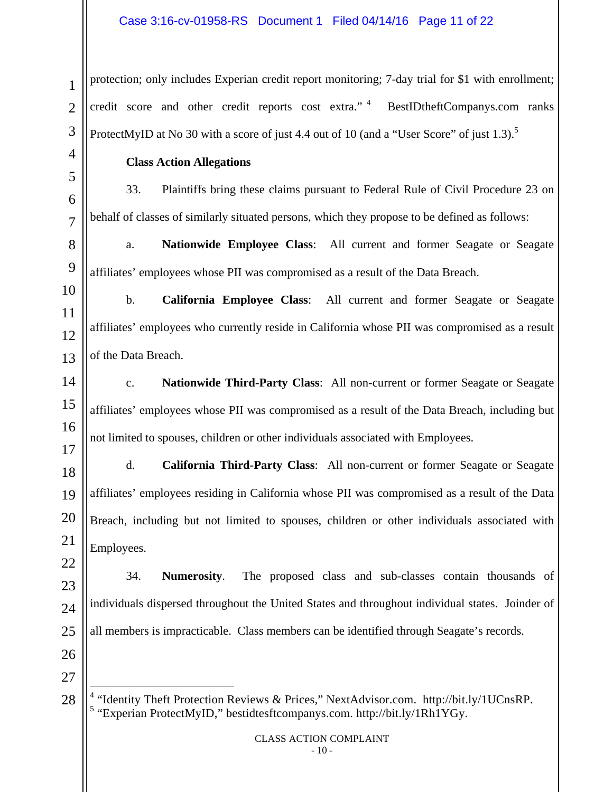protection; only includes Experian credit report monitoring; 7-day trial for \$1 with enrollment; credit score and other credit reports cost extra."<sup>4</sup> BestIDtheftCompanys.com ranks ProtectMyID at No 30 with a score of just 4.4 out of 10 (and a "User Score" of just 1.3).<sup>5</sup>

## **Class Action Allegations**

33. Plaintiffs bring these claims pursuant to Federal Rule of Civil Procedure 23 on behalf of classes of similarly situated persons, which they propose to be defined as follows:

a. **Nationwide Employee Class**: All current and former Seagate or Seagate affiliates' employees whose PII was compromised as a result of the Data Breach.

b. **California Employee Class**: All current and former Seagate or Seagate affiliates' employees who currently reside in California whose PII was compromised as a result of the Data Breach.

c. **Nationwide Third-Party Class**: All non-current or former Seagate or Seagate affiliates' employees whose PII was compromised as a result of the Data Breach, including but not limited to spouses, children or other individuals associated with Employees.

d. **California Third-Party Class**: All non-current or former Seagate or Seagate affiliates' employees residing in California whose PII was compromised as a result of the Data Breach, including but not limited to spouses, children or other individuals associated with Employees.

34. **Numerosity**. The proposed class and sub-classes contain thousands of individuals dispersed throughout the United States and throughout individual states. Joinder of all members is impracticable. Class members can be identified through Seagate's records.

l <sup>4</sup> "Identity Theft Protection Reviews & Prices," NextAdvisor.com. http://bit.ly/1UCnsRP. <sup>5</sup> "Experian ProtectMyID," bestidtesftcompanys.com. http://bit.ly/1Rh1YGy.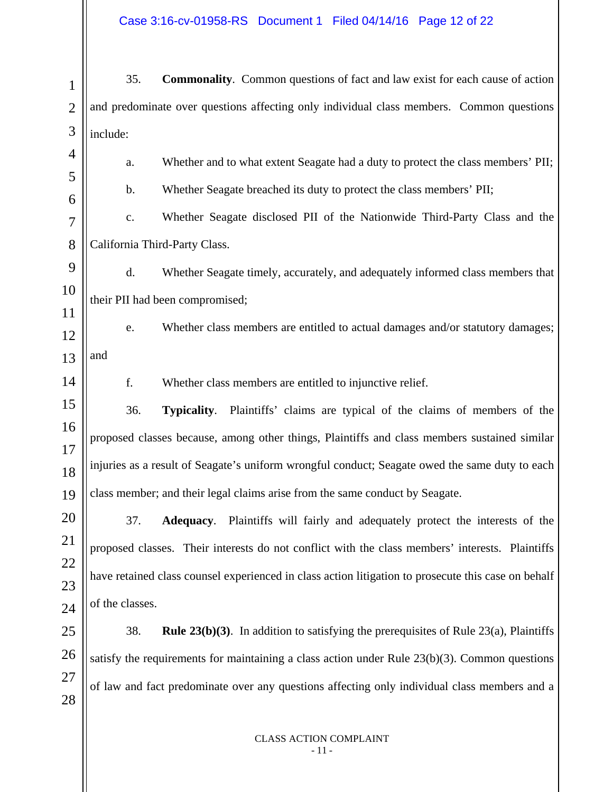1 2 3 4 5 6 7 8 9 10 11 12 13 14 15 16 17 18 19 20 21 22 23 24 25 26 27 28 35. **Commonality**. Common questions of fact and law exist for each cause of action and predominate over questions affecting only individual class members. Common questions include: a. Whether and to what extent Seagate had a duty to protect the class members' PII; b. Whether Seagate breached its duty to protect the class members' PII; c. Whether Seagate disclosed PII of the Nationwide Third-Party Class and the California Third-Party Class. d. Whether Seagate timely, accurately, and adequately informed class members that their PII had been compromised; e. Whether class members are entitled to actual damages and/or statutory damages; and f. Whether class members are entitled to injunctive relief. 36. **Typicality**. Plaintiffs' claims are typical of the claims of members of the proposed classes because, among other things, Plaintiffs and class members sustained similar injuries as a result of Seagate's uniform wrongful conduct; Seagate owed the same duty to each class member; and their legal claims arise from the same conduct by Seagate. 37. **Adequacy**. Plaintiffs will fairly and adequately protect the interests of the proposed classes. Their interests do not conflict with the class members' interests. Plaintiffs have retained class counsel experienced in class action litigation to prosecute this case on behalf of the classes. 38. **Rule 23(b)(3)**. In addition to satisfying the prerequisites of Rule 23(a), Plaintiffs satisfy the requirements for maintaining a class action under Rule  $23(b)(3)$ . Common questions of law and fact predominate over any questions affecting only individual class members and a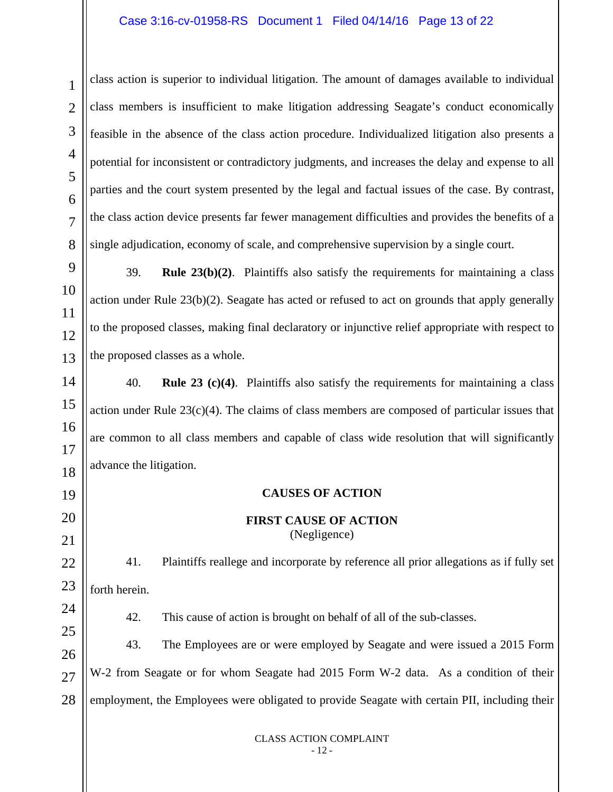class action is superior to individual litigation. The amount of damages available to individual class members is insufficient to make litigation addressing Seagate's conduct economically feasible in the absence of the class action procedure. Individualized litigation also presents a potential for inconsistent or contradictory judgments, and increases the delay and expense to all parties and the court system presented by the legal and factual issues of the case. By contrast, the class action device presents far fewer management difficulties and provides the benefits of a single adjudication, economy of scale, and comprehensive supervision by a single court.

39. **Rule 23(b)(2)**. Plaintiffs also satisfy the requirements for maintaining a class action under Rule  $23(b)(2)$ . Seagate has acted or refused to act on grounds that apply generally to the proposed classes, making final declaratory or injunctive relief appropriate with respect to the proposed classes as a whole.

40. **Rule 23 (c)(4)**. Plaintiffs also satisfy the requirements for maintaining a class action under Rule 23(c)(4). The claims of class members are composed of particular issues that are common to all class members and capable of class wide resolution that will significantly advance the litigation.

## **CAUSES OF ACTION**

**FIRST CAUSE OF ACTION**  (Negligence)

41. Plaintiffs reallege and incorporate by reference all prior allegations as if fully set forth herein.

42. This cause of action is brought on behalf of all of the sub-classes.

43. The Employees are or were employed by Seagate and were issued a 2015 Form W-2 from Seagate or for whom Seagate had 2015 Form W-2 data. As a condition of their employment, the Employees were obligated to provide Seagate with certain PII, including their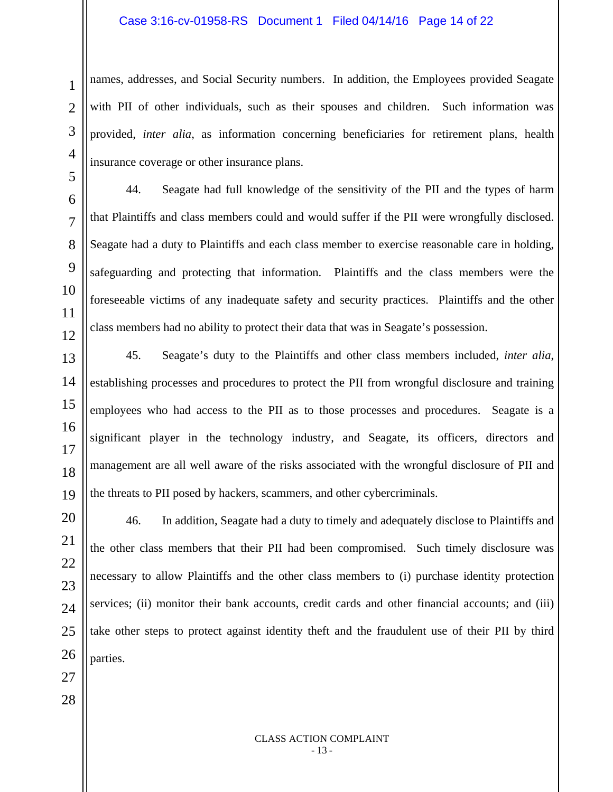#### Case 3:16-cv-01958-RS Document 1 Filed 04/14/16 Page 14 of 22

names, addresses, and Social Security numbers. In addition, the Employees provided Seagate with PII of other individuals, such as their spouses and children. Such information was provided, *inter alia*, as information concerning beneficiaries for retirement plans, health insurance coverage or other insurance plans.

44. Seagate had full knowledge of the sensitivity of the PII and the types of harm that Plaintiffs and class members could and would suffer if the PII were wrongfully disclosed. Seagate had a duty to Plaintiffs and each class member to exercise reasonable care in holding, safeguarding and protecting that information. Plaintiffs and the class members were the foreseeable victims of any inadequate safety and security practices. Plaintiffs and the other class members had no ability to protect their data that was in Seagate's possession.

45. Seagate's duty to the Plaintiffs and other class members included, *inter alia*, establishing processes and procedures to protect the PII from wrongful disclosure and training employees who had access to the PII as to those processes and procedures. Seagate is a significant player in the technology industry, and Seagate, its officers, directors and management are all well aware of the risks associated with the wrongful disclosure of PII and the threats to PII posed by hackers, scammers, and other cybercriminals.

46. In addition, Seagate had a duty to timely and adequately disclose to Plaintiffs and the other class members that their PII had been compromised. Such timely disclosure was necessary to allow Plaintiffs and the other class members to (i) purchase identity protection services; (ii) monitor their bank accounts, credit cards and other financial accounts; and (iii) take other steps to protect against identity theft and the fraudulent use of their PII by third parties.

1

2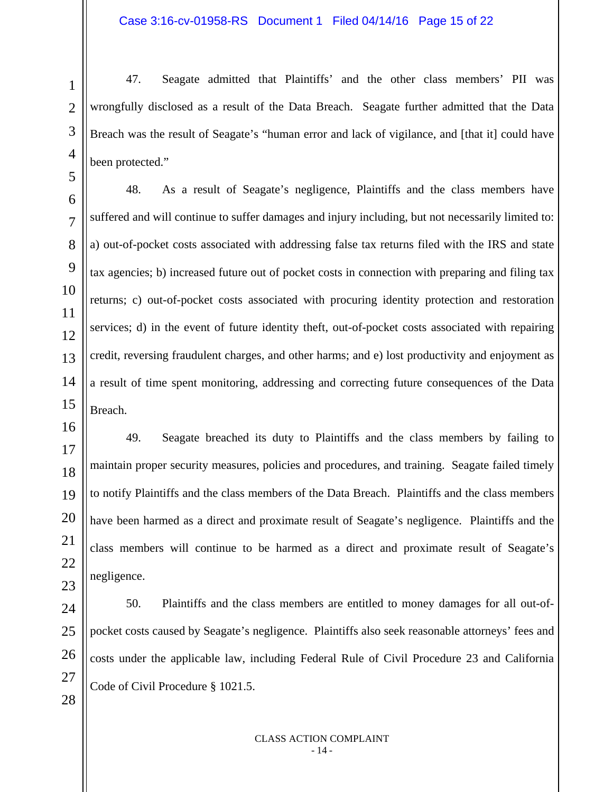47. Seagate admitted that Plaintiffs' and the other class members' PII was wrongfully disclosed as a result of the Data Breach. Seagate further admitted that the Data Breach was the result of Seagate's "human error and lack of vigilance, and [that it] could have been protected."

48. As a result of Seagate's negligence, Plaintiffs and the class members have suffered and will continue to suffer damages and injury including, but not necessarily limited to: a) out-of-pocket costs associated with addressing false tax returns filed with the IRS and state tax agencies; b) increased future out of pocket costs in connection with preparing and filing tax returns; c) out-of-pocket costs associated with procuring identity protection and restoration services; d) in the event of future identity theft, out-of-pocket costs associated with repairing credit, reversing fraudulent charges, and other harms; and e) lost productivity and enjoyment as a result of time spent monitoring, addressing and correcting future consequences of the Data Breach.

49. Seagate breached its duty to Plaintiffs and the class members by failing to maintain proper security measures, policies and procedures, and training. Seagate failed timely to notify Plaintiffs and the class members of the Data Breach. Plaintiffs and the class members have been harmed as a direct and proximate result of Seagate's negligence. Plaintiffs and the class members will continue to be harmed as a direct and proximate result of Seagate's negligence.

50. Plaintiffs and the class members are entitled to money damages for all out-ofpocket costs caused by Seagate's negligence. Plaintiffs also seek reasonable attorneys' fees and costs under the applicable law, including Federal Rule of Civil Procedure 23 and California Code of Civil Procedure § 1021.5.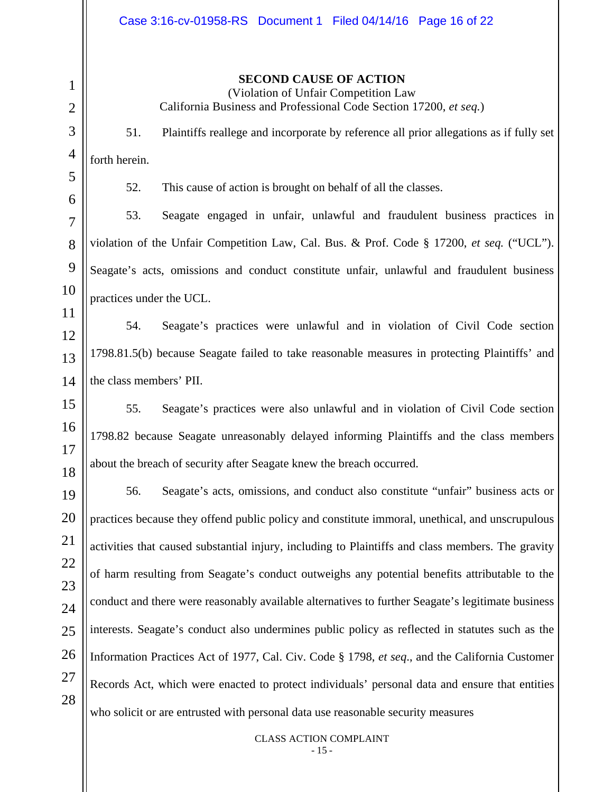**SECOND CAUSE OF ACTION** 

(Violation of Unfair Competition Law California Business and Professional Code Section 17200, *et seq.*)

51. Plaintiffs reallege and incorporate by reference all prior allegations as if fully set forth herein.

52. This cause of action is brought on behalf of all the classes.

53. Seagate engaged in unfair, unlawful and fraudulent business practices in violation of the Unfair Competition Law, Cal. Bus. & Prof. Code § 17200, *et seq.* ("UCL"). Seagate's acts, omissions and conduct constitute unfair, unlawful and fraudulent business practices under the UCL.

54. Seagate's practices were unlawful and in violation of Civil Code section 1798.81.5(b) because Seagate failed to take reasonable measures in protecting Plaintiffs' and the class members' PII.

55. Seagate's practices were also unlawful and in violation of Civil Code section 1798.82 because Seagate unreasonably delayed informing Plaintiffs and the class members about the breach of security after Seagate knew the breach occurred.

56. Seagate's acts, omissions, and conduct also constitute "unfair" business acts or practices because they offend public policy and constitute immoral, unethical, and unscrupulous activities that caused substantial injury, including to Plaintiffs and class members. The gravity of harm resulting from Seagate's conduct outweighs any potential benefits attributable to the conduct and there were reasonably available alternatives to further Seagate's legitimate business interests. Seagate's conduct also undermines public policy as reflected in statutes such as the Information Practices Act of 1977, Cal. Civ. Code § 1798, *et seq*., and the California Customer Records Act, which were enacted to protect individuals' personal data and ensure that entities who solicit or are entrusted with personal data use reasonable security measures

> CLASS ACTION COMPLAINT - 15 -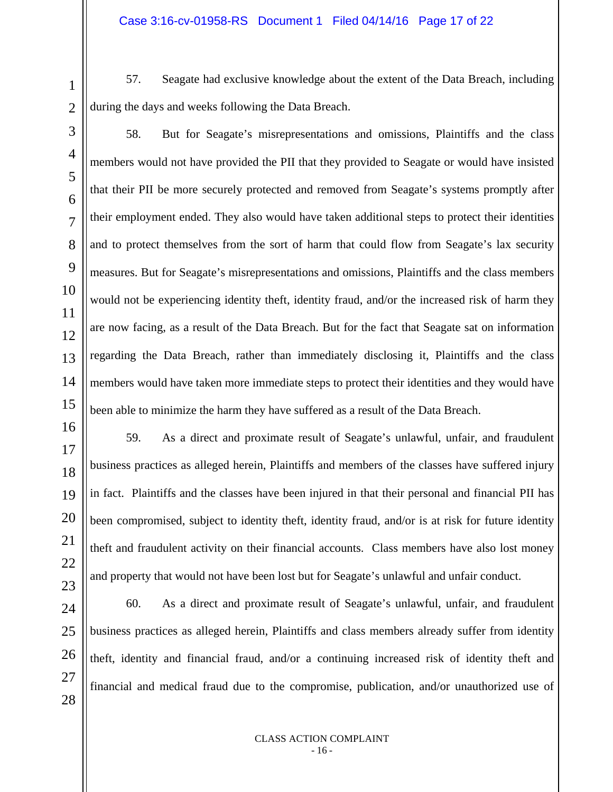57. Seagate had exclusive knowledge about the extent of the Data Breach, including during the days and weeks following the Data Breach.

58. But for Seagate's misrepresentations and omissions, Plaintiffs and the class members would not have provided the PII that they provided to Seagate or would have insisted that their PII be more securely protected and removed from Seagate's systems promptly after their employment ended. They also would have taken additional steps to protect their identities and to protect themselves from the sort of harm that could flow from Seagate's lax security measures. But for Seagate's misrepresentations and omissions, Plaintiffs and the class members would not be experiencing identity theft, identity fraud, and/or the increased risk of harm they are now facing, as a result of the Data Breach. But for the fact that Seagate sat on information regarding the Data Breach, rather than immediately disclosing it, Plaintiffs and the class members would have taken more immediate steps to protect their identities and they would have been able to minimize the harm they have suffered as a result of the Data Breach.

59. As a direct and proximate result of Seagate's unlawful, unfair, and fraudulent business practices as alleged herein, Plaintiffs and members of the classes have suffered injury in fact. Plaintiffs and the classes have been injured in that their personal and financial PII has been compromised, subject to identity theft, identity fraud, and/or is at risk for future identity theft and fraudulent activity on their financial accounts. Class members have also lost money and property that would not have been lost but for Seagate's unlawful and unfair conduct.

60. As a direct and proximate result of Seagate's unlawful, unfair, and fraudulent business practices as alleged herein, Plaintiffs and class members already suffer from identity theft, identity and financial fraud, and/or a continuing increased risk of identity theft and financial and medical fraud due to the compromise, publication, and/or unauthorized use of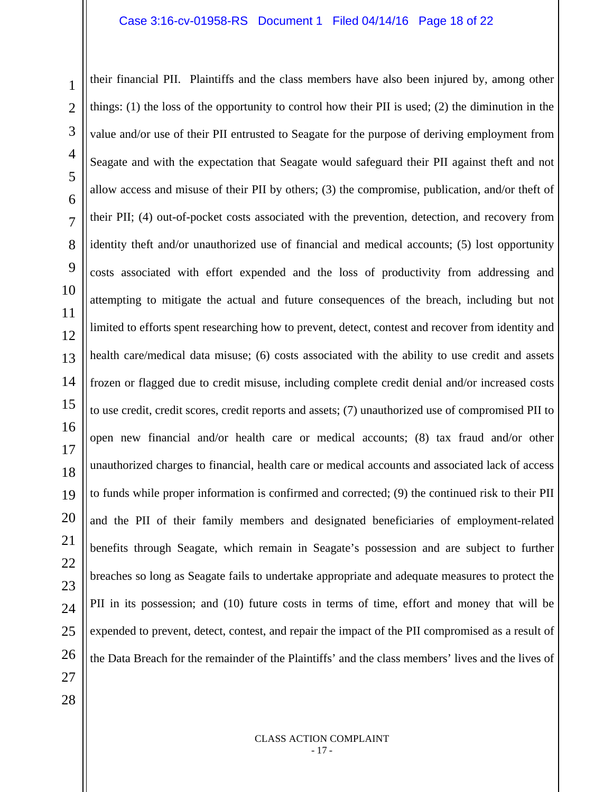1 2 3 4 5 6 7 8 9 10 11 12 13 14 15 16 17 18 19 20 21 22 23 24 25 26 their financial PII. Plaintiffs and the class members have also been injured by, among other things: (1) the loss of the opportunity to control how their PII is used; (2) the diminution in the value and/or use of their PII entrusted to Seagate for the purpose of deriving employment from Seagate and with the expectation that Seagate would safeguard their PII against theft and not allow access and misuse of their PII by others; (3) the compromise, publication, and/or theft of their PII; (4) out-of-pocket costs associated with the prevention, detection, and recovery from identity theft and/or unauthorized use of financial and medical accounts; (5) lost opportunity costs associated with effort expended and the loss of productivity from addressing and attempting to mitigate the actual and future consequences of the breach, including but not limited to efforts spent researching how to prevent, detect, contest and recover from identity and health care/medical data misuse; (6) costs associated with the ability to use credit and assets frozen or flagged due to credit misuse, including complete credit denial and/or increased costs to use credit, credit scores, credit reports and assets; (7) unauthorized use of compromised PII to open new financial and/or health care or medical accounts; (8) tax fraud and/or other unauthorized charges to financial, health care or medical accounts and associated lack of access to funds while proper information is confirmed and corrected; (9) the continued risk to their PII and the PII of their family members and designated beneficiaries of employment-related benefits through Seagate, which remain in Seagate's possession and are subject to further breaches so long as Seagate fails to undertake appropriate and adequate measures to protect the PII in its possession; and (10) future costs in terms of time, effort and money that will be expended to prevent, detect, contest, and repair the impact of the PII compromised as a result of the Data Breach for the remainder of the Plaintiffs' and the class members' lives and the lives of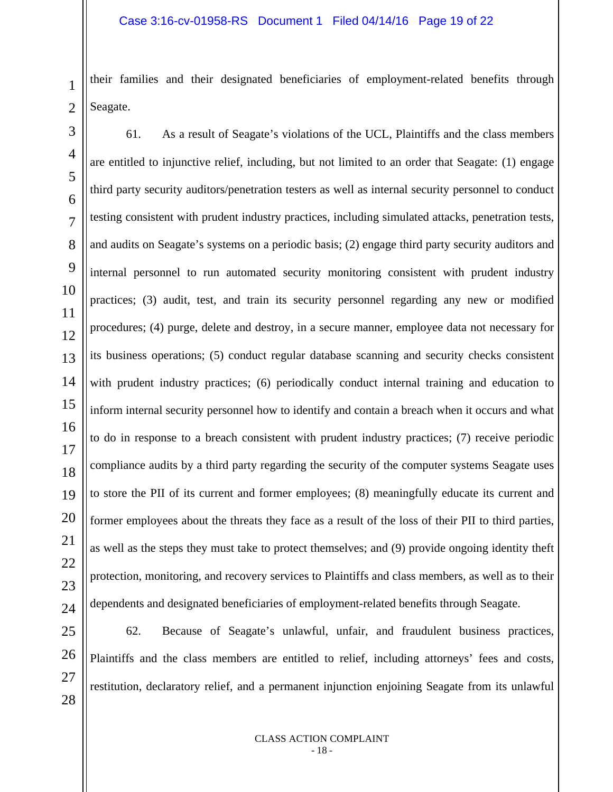2 their families and their designated beneficiaries of employment-related benefits through Seagate.

3 4 5 6 7 8 9 10 11 12 13 61. As a result of Seagate's violations of the UCL, Plaintiffs and the class members are entitled to injunctive relief, including, but not limited to an order that Seagate: (1) engage third party security auditors/penetration testers as well as internal security personnel to conduct testing consistent with prudent industry practices, including simulated attacks, penetration tests, and audits on Seagate's systems on a periodic basis; (2) engage third party security auditors and internal personnel to run automated security monitoring consistent with prudent industry practices; (3) audit, test, and train its security personnel regarding any new or modified procedures; (4) purge, delete and destroy, in a secure manner, employee data not necessary for its business operations; (5) conduct regular database scanning and security checks consistent with prudent industry practices; (6) periodically conduct internal training and education to inform internal security personnel how to identify and contain a breach when it occurs and what to do in response to a breach consistent with prudent industry practices; (7) receive periodic compliance audits by a third party regarding the security of the computer systems Seagate uses to store the PII of its current and former employees; (8) meaningfully educate its current and former employees about the threats they face as a result of the loss of their PII to third parties, as well as the steps they must take to protect themselves; and (9) provide ongoing identity theft protection, monitoring, and recovery services to Plaintiffs and class members, as well as to their dependents and designated beneficiaries of employment-related benefits through Seagate.

62. Because of Seagate's unlawful, unfair, and fraudulent business practices, Plaintiffs and the class members are entitled to relief, including attorneys' fees and costs, restitution, declaratory relief, and a permanent injunction enjoining Seagate from its unlawful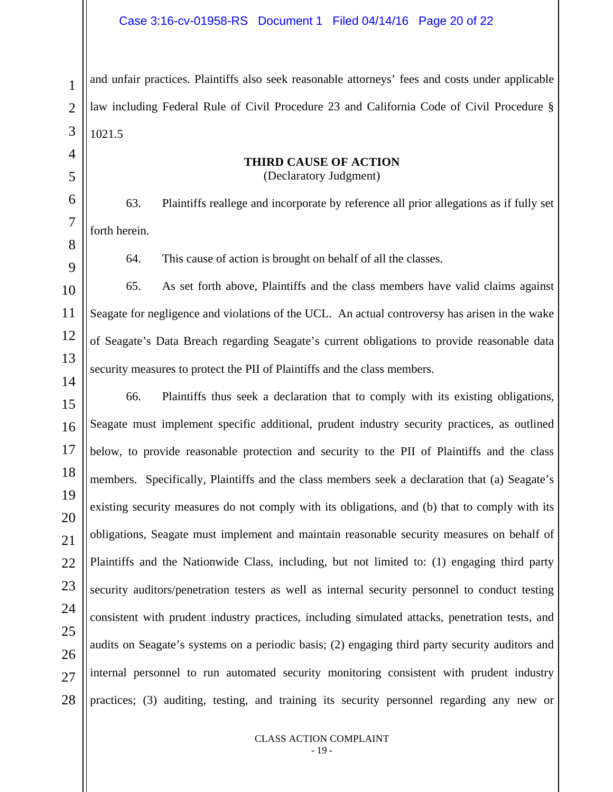and unfair practices. Plaintiffs also seek reasonable attorneys' fees and costs under applicable law including Federal Rule of Civil Procedure 23 and California Code of Civil Procedure § 1021.5

#### **THIRD CAUSE OF ACTION**  (Declaratory Judgment)

63. Plaintiffs reallege and incorporate by reference all prior allegations as if fully set forth herein.

64. This cause of action is brought on behalf of all the classes.

65. As set forth above, Plaintiffs and the class members have valid claims against Seagate for negligence and violations of the UCL. An actual controversy has arisen in the wake of Seagate's Data Breach regarding Seagate's current obligations to provide reasonable data security measures to protect the PII of Plaintiffs and the class members.

66. Plaintiffs thus seek a declaration that to comply with its existing obligations, Seagate must implement specific additional, prudent industry security practices, as outlined below, to provide reasonable protection and security to the PII of Plaintiffs and the class members. Specifically, Plaintiffs and the class members seek a declaration that (a) Seagate's existing security measures do not comply with its obligations, and (b) that to comply with its obligations, Seagate must implement and maintain reasonable security measures on behalf of Plaintiffs and the Nationwide Class, including, but not limited to: (1) engaging third party security auditors/penetration testers as well as internal security personnel to conduct testing consistent with prudent industry practices, including simulated attacks, penetration tests, and audits on Seagate's systems on a periodic basis; (2) engaging third party security auditors and internal personnel to run automated security monitoring consistent with prudent industry practices; (3) auditing, testing, and training its security personnel regarding any new or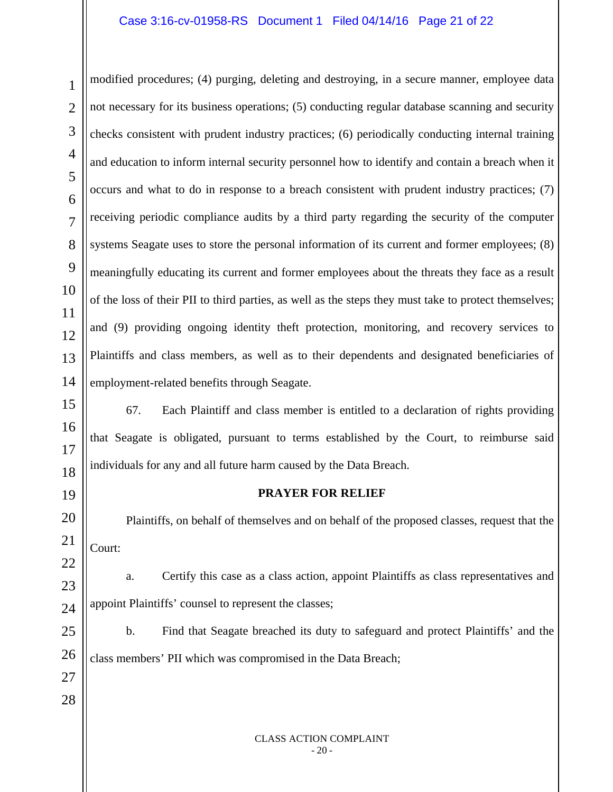## Case 3:16-cv-01958-RS Document 1 Filed 04/14/16 Page 21 of 22

2 modified procedures; (4) purging, deleting and destroying, in a secure manner, employee data not necessary for its business operations; (5) conducting regular database scanning and security checks consistent with prudent industry practices; (6) periodically conducting internal training and education to inform internal security personnel how to identify and contain a breach when it occurs and what to do in response to a breach consistent with prudent industry practices; (7) receiving periodic compliance audits by a third party regarding the security of the computer systems Seagate uses to store the personal information of its current and former employees; (8) meaningfully educating its current and former employees about the threats they face as a result of the loss of their PII to third parties, as well as the steps they must take to protect themselves; and (9) providing ongoing identity theft protection, monitoring, and recovery services to Plaintiffs and class members, as well as to their dependents and designated beneficiaries of employment-related benefits through Seagate.

67. Each Plaintiff and class member is entitled to a declaration of rights providing that Seagate is obligated, pursuant to terms established by the Court, to reimburse said individuals for any and all future harm caused by the Data Breach.

#### **PRAYER FOR RELIEF**

Plaintiffs, on behalf of themselves and on behalf of the proposed classes, request that the Court:

a. Certify this case as a class action, appoint Plaintiffs as class representatives and appoint Plaintiffs' counsel to represent the classes;

b. Find that Seagate breached its duty to safeguard and protect Plaintiffs' and the class members' PII which was compromised in the Data Breach;